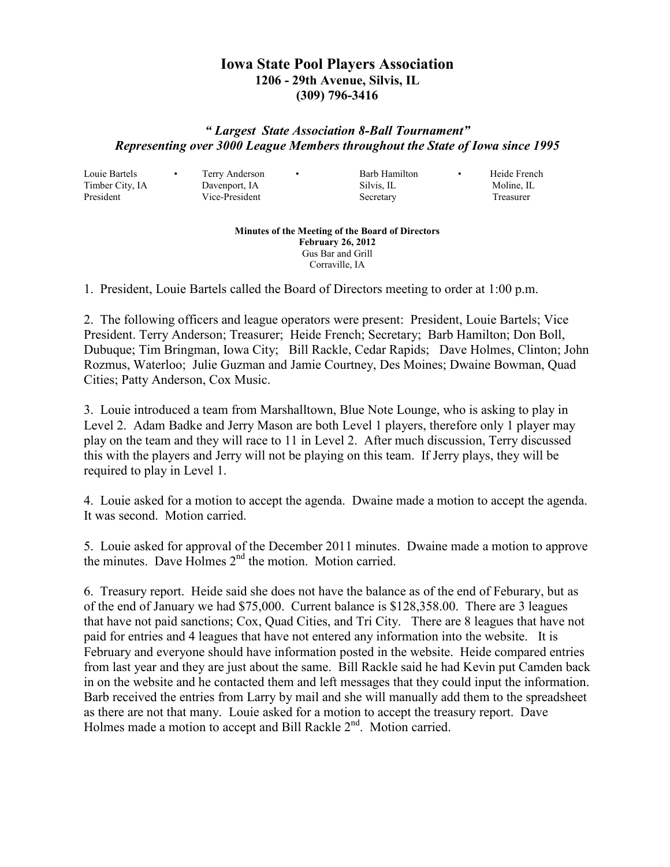## **Iowa State Pool Players Association 1206 - 29th Avenue, Silvis, IL (309) 796-3416**

## *" Largest State Association 8-Ball Tournament" Representing over 3000 League Members throughout the State of Iowa since 1995*

Louie Bartels • Terry Anderson • Barb Hamilton • Heide French

Timber City, IA Davenport, IA Silvis, IL Moline, IL President Vice-President Secretary Treasurer

**Minutes of the Meeting of the Board of Directors February 26, 2012**  Gus Bar and Grill Corraville, IA

1. President, Louie Bartels called the Board of Directors meeting to order at 1:00 p.m.

2. The following officers and league operators were present: President, Louie Bartels; Vice President. Terry Anderson; Treasurer; Heide French; Secretary; Barb Hamilton; Don Boll, Dubuque; Tim Bringman, Iowa City; Bill Rackle, Cedar Rapids; Dave Holmes, Clinton; John Rozmus, Waterloo; Julie Guzman and Jamie Courtney, Des Moines; Dwaine Bowman, Quad Cities; Patty Anderson, Cox Music.

3. Louie introduced a team from Marshalltown, Blue Note Lounge, who is asking to play in Level 2. Adam Badke and Jerry Mason are both Level 1 players, therefore only 1 player may play on the team and they will race to 11 in Level 2. After much discussion, Terry discussed this with the players and Jerry will not be playing on this team. If Jerry plays, they will be required to play in Level 1.

4. Louie asked for a motion to accept the agenda. Dwaine made a motion to accept the agenda. It was second. Motion carried.

5. Louie asked for approval of the December 2011 minutes. Dwaine made a motion to approve the minutes. Dave Holmes 2<sup>nd</sup> the motion. Motion carried.

6. Treasury report. Heide said she does not have the balance as of the end of Feburary, but as of the end of January we had \$75,000. Current balance is \$128,358.00. There are 3 leagues that have not paid sanctions; Cox, Quad Cities, and Tri City. There are 8 leagues that have not paid for entries and 4 leagues that have not entered any information into the website. It is February and everyone should have information posted in the website. Heide compared entries from last year and they are just about the same. Bill Rackle said he had Kevin put Camden back in on the website and he contacted them and left messages that they could input the information. Barb received the entries from Larry by mail and she will manually add them to the spreadsheet as there are not that many. Louie asked for a motion to accept the treasury report. Dave Holmes made a motion to accept and Bill Rackle 2<sup>nd</sup>. Motion carried.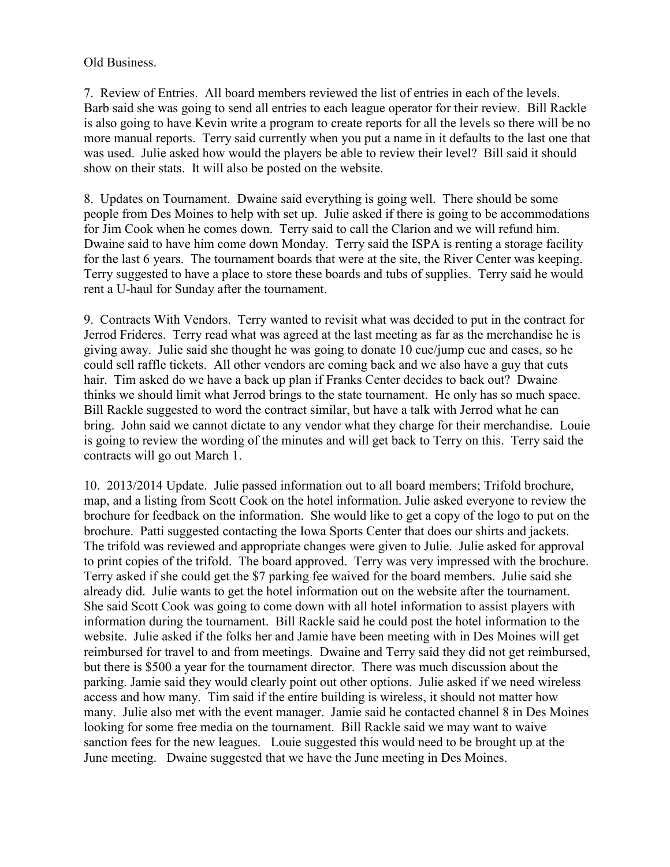Old Business.

7. Review of Entries. All board members reviewed the list of entries in each of the levels. Barb said she was going to send all entries to each league operator for their review. Bill Rackle is also going to have Kevin write a program to create reports for all the levels so there will be no more manual reports. Terry said currently when you put a name in it defaults to the last one that was used. Julie asked how would the players be able to review their level? Bill said it should show on their stats. It will also be posted on the website.

8. Updates on Tournament. Dwaine said everything is going well. There should be some people from Des Moines to help with set up. Julie asked if there is going to be accommodations for Jim Cook when he comes down. Terry said to call the Clarion and we will refund him. Dwaine said to have him come down Monday. Terry said the ISPA is renting a storage facility for the last 6 years. The tournament boards that were at the site, the River Center was keeping. Terry suggested to have a place to store these boards and tubs of supplies. Terry said he would rent a U-haul for Sunday after the tournament.

9. Contracts With Vendors. Terry wanted to revisit what was decided to put in the contract for Jerrod Frideres. Terry read what was agreed at the last meeting as far as the merchandise he is giving away. Julie said she thought he was going to donate 10 cue/jump cue and cases, so he could sell raffle tickets. All other vendors are coming back and we also have a guy that cuts hair. Tim asked do we have a back up plan if Franks Center decides to back out? Dwaine thinks we should limit what Jerrod brings to the state tournament. He only has so much space. Bill Rackle suggested to word the contract similar, but have a talk with Jerrod what he can bring. John said we cannot dictate to any vendor what they charge for their merchandise. Louie is going to review the wording of the minutes and will get back to Terry on this. Terry said the contracts will go out March 1.

10. 2013/2014 Update. Julie passed information out to all board members; Trifold brochure, map, and a listing from Scott Cook on the hotel information. Julie asked everyone to review the brochure for feedback on the information. She would like to get a copy of the logo to put on the brochure. Patti suggested contacting the Iowa Sports Center that does our shirts and jackets. The trifold was reviewed and appropriate changes were given to Julie. Julie asked for approval to print copies of the trifold. The board approved. Terry was very impressed with the brochure. Terry asked if she could get the \$7 parking fee waived for the board members. Julie said she already did. Julie wants to get the hotel information out on the website after the tournament. She said Scott Cook was going to come down with all hotel information to assist players with information during the tournament. Bill Rackle said he could post the hotel information to the website. Julie asked if the folks her and Jamie have been meeting with in Des Moines will get reimbursed for travel to and from meetings. Dwaine and Terry said they did not get reimbursed, but there is \$500 a year for the tournament director. There was much discussion about the parking. Jamie said they would clearly point out other options. Julie asked if we need wireless access and how many. Tim said if the entire building is wireless, it should not matter how many. Julie also met with the event manager. Jamie said he contacted channel 8 in Des Moines looking for some free media on the tournament. Bill Rackle said we may want to waive sanction fees for the new leagues. Louie suggested this would need to be brought up at the June meeting. Dwaine suggested that we have the June meeting in Des Moines.